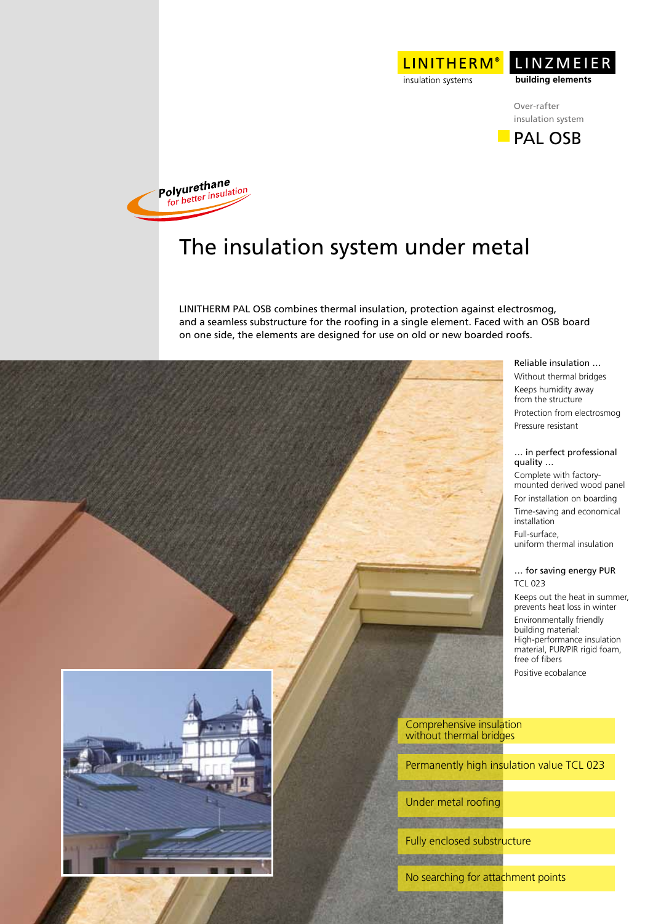



**PAL OSB** 



## The insulation system under metal

LINITHERM PAL OSB combines thermal insulation, protection against electrosmog, and a seamless substructure for the roofing in a single element. Faced with an OSB board on one side, the elements are designed for use on old or new boarded roofs.



Under metal roofing

**CAUSE SERVER** 

Fully enclosed substructure

No searching for attachment points